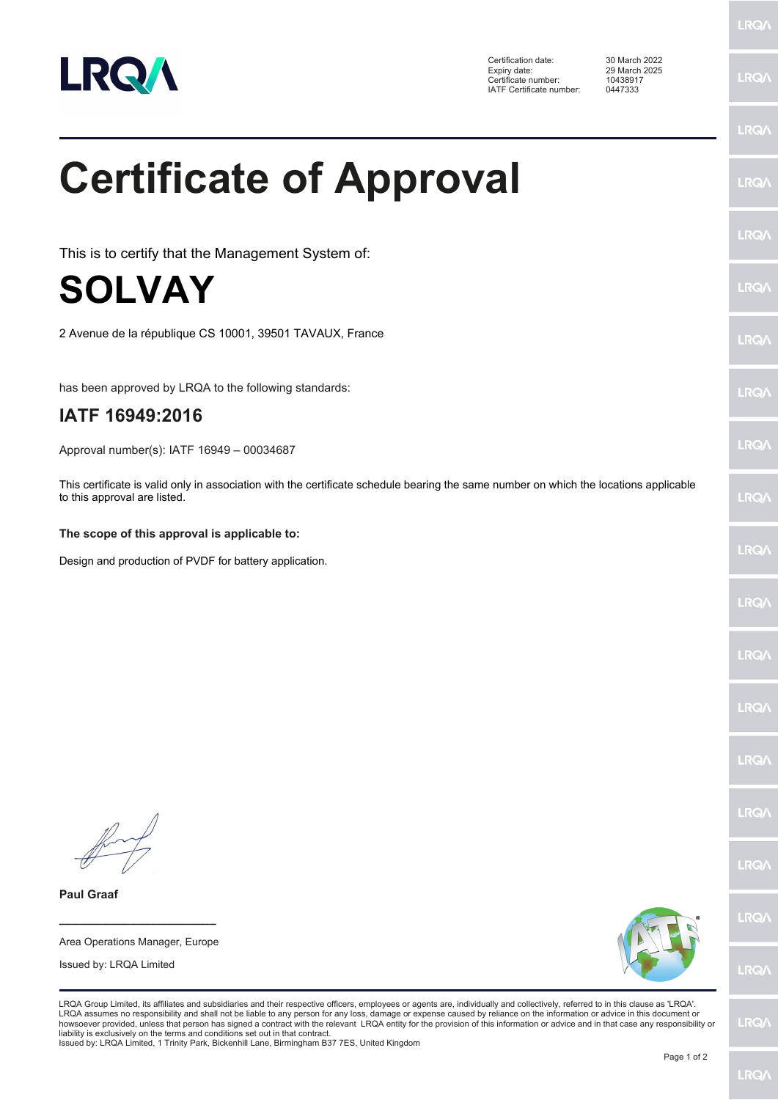

Certification date: 30 March 2022 Expiry date: 29 March 2025 Certificate number: 10438917 IATF Certificate number: 0447333

**LRQA** 

|                                                                                                                                                                                                                                                                                                                                                                                                                                                                                                                                                                                                                                                                                                                                     | <b>LRQ/</b> |
|-------------------------------------------------------------------------------------------------------------------------------------------------------------------------------------------------------------------------------------------------------------------------------------------------------------------------------------------------------------------------------------------------------------------------------------------------------------------------------------------------------------------------------------------------------------------------------------------------------------------------------------------------------------------------------------------------------------------------------------|-------------|
| <b>Certificate of Approval</b>                                                                                                                                                                                                                                                                                                                                                                                                                                                                                                                                                                                                                                                                                                      | <b>LRQ/</b> |
| This is to certify that the Management System of:                                                                                                                                                                                                                                                                                                                                                                                                                                                                                                                                                                                                                                                                                   | <b>LRQ/</b> |
| <b>SOLVAY</b>                                                                                                                                                                                                                                                                                                                                                                                                                                                                                                                                                                                                                                                                                                                       | <b>LRQ/</b> |
| 2 Avenue de la république CS 10001, 39501 TAVAUX, France                                                                                                                                                                                                                                                                                                                                                                                                                                                                                                                                                                                                                                                                            | <b>LRQA</b> |
| has been approved by LRQA to the following standards:                                                                                                                                                                                                                                                                                                                                                                                                                                                                                                                                                                                                                                                                               | LRQ/        |
| IATF 16949:2016                                                                                                                                                                                                                                                                                                                                                                                                                                                                                                                                                                                                                                                                                                                     |             |
| Approval number(s): IATF 16949 - 00034687                                                                                                                                                                                                                                                                                                                                                                                                                                                                                                                                                                                                                                                                                           | LRQ/        |
| This certificate is valid only in association with the certificate schedule bearing the same number on which the locations applicable<br>to this approval are listed.                                                                                                                                                                                                                                                                                                                                                                                                                                                                                                                                                               | <b>LRQA</b> |
| The scope of this approval is applicable to:                                                                                                                                                                                                                                                                                                                                                                                                                                                                                                                                                                                                                                                                                        |             |
| Design and production of PVDF for battery application.                                                                                                                                                                                                                                                                                                                                                                                                                                                                                                                                                                                                                                                                              | <b>LRQA</b> |
|                                                                                                                                                                                                                                                                                                                                                                                                                                                                                                                                                                                                                                                                                                                                     | LRQ/        |
|                                                                                                                                                                                                                                                                                                                                                                                                                                                                                                                                                                                                                                                                                                                                     | <b>LRQ/</b> |
|                                                                                                                                                                                                                                                                                                                                                                                                                                                                                                                                                                                                                                                                                                                                     | LRQ/        |
|                                                                                                                                                                                                                                                                                                                                                                                                                                                                                                                                                                                                                                                                                                                                     | LRQ/        |
|                                                                                                                                                                                                                                                                                                                                                                                                                                                                                                                                                                                                                                                                                                                                     | LRQ/        |
|                                                                                                                                                                                                                                                                                                                                                                                                                                                                                                                                                                                                                                                                                                                                     | <b>LRQ/</b> |
| <b>Paul Graaf</b>                                                                                                                                                                                                                                                                                                                                                                                                                                                                                                                                                                                                                                                                                                                   |             |
|                                                                                                                                                                                                                                                                                                                                                                                                                                                                                                                                                                                                                                                                                                                                     | LRQ/        |
| Area Operations Manager, Europe<br>Issued by: LRQA Limited                                                                                                                                                                                                                                                                                                                                                                                                                                                                                                                                                                                                                                                                          | LRQ/        |
| LRQA Group Limited, its affiliates and subsidiaries and their respective officers, employees or agents are, individually and collectively, referred to in this clause as 'LRQA'.<br>LRQA assumes no responsibility and shall not be liable to any person for any loss, damage or expense caused by reliance on the information or advice in this document or<br>howsoever provided, unless that person has signed a contract with the relevant LRQA entity for the provision of this information or advice and in that case any responsibility or<br>liability is exclusively on the terms and conditions set out in that contract.<br>Issued by: LRQA Limited, 1 Trinity Park, Bickenhill Lane, Birmingham B37 7ES, United Kingdom | <b>LRQA</b> |